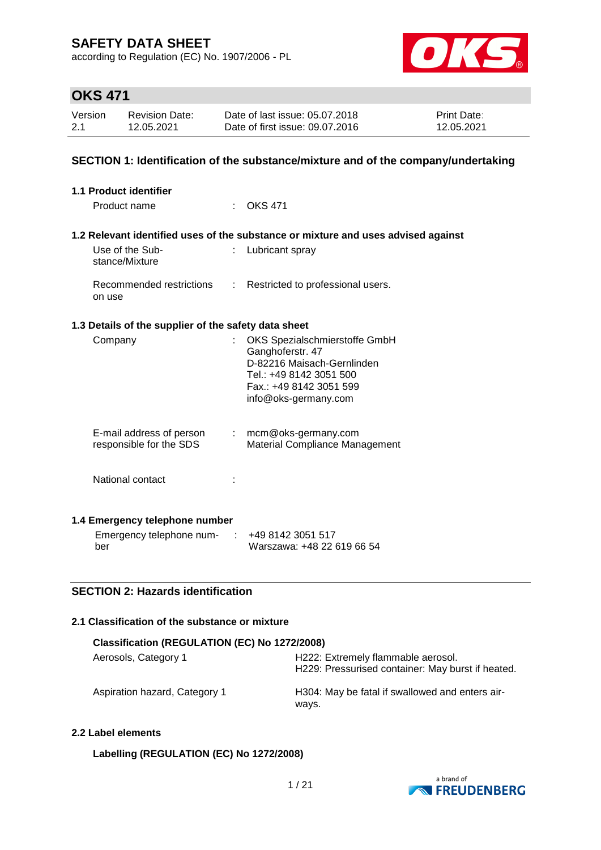according to Regulation (EC) No. 1907/2006 - PL



# **OKS 471**

| Version | <b>Revision Date:</b> | Date of last issue: 05.07.2018  | <b>Print Date:</b> |
|---------|-----------------------|---------------------------------|--------------------|
| 2.1     | 12.05.2021            | Date of first issue: 09.07.2016 | 12.05.2021         |

### **SECTION 1: Identification of the substance/mixture and of the company/undertaking**

| 1.1 Product identifier                               |    |                                                                                                                                                               |
|------------------------------------------------------|----|---------------------------------------------------------------------------------------------------------------------------------------------------------------|
| Product name                                         |    | <b>OKS 471</b>                                                                                                                                                |
|                                                      |    |                                                                                                                                                               |
|                                                      |    | 1.2 Relevant identified uses of the substance or mixture and uses advised against                                                                             |
| Use of the Sub-<br>stance/Mixture                    |    | Lubricant spray                                                                                                                                               |
| Recommended restrictions<br>on use                   |    | : Restricted to professional users.                                                                                                                           |
| 1.3 Details of the supplier of the safety data sheet |    |                                                                                                                                                               |
| Company                                              | t. | OKS Spezialschmierstoffe GmbH<br>Ganghoferstr. 47<br>D-82216 Maisach-Gernlinden<br>Tel.: +49 8142 3051 500<br>Fax.: +49 8142 3051 599<br>info@oks-germany.com |
| E-mail address of person<br>responsible for the SDS  |    | $:$ mcm@oks-germany.com<br><b>Material Compliance Management</b>                                                                                              |
| National contact                                     |    |                                                                                                                                                               |
| 1.4 Emergency telephone number                       |    |                                                                                                                                                               |
| Emergency telephone num-<br>ber                      |    | +49 8142 3051 517<br>Warszawa: +48 22 619 66 54                                                                                                               |

## **SECTION 2: Hazards identification**

### **2.1 Classification of the substance or mixture**

| Classification (REGULATION (EC) No 1272/2008) |                                                                                         |
|-----------------------------------------------|-----------------------------------------------------------------------------------------|
| Aerosols, Category 1                          | H222: Extremely flammable aerosol.<br>H229: Pressurised container: May burst if heated. |
| Aspiration hazard, Category 1                 | H304: May be fatal if swallowed and enters air-<br>ways.                                |

## **2.2 Label elements**

**Labelling (REGULATION (EC) No 1272/2008)**

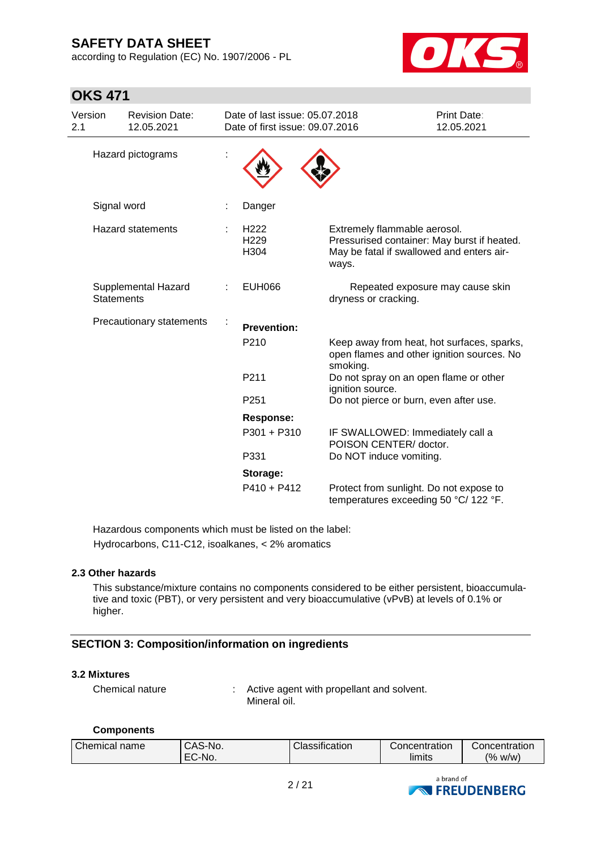according to Regulation (EC) No. 1907/2006 - PL



| <b>OKS 471</b>                           |                                     |  |                                                                   |                                                                                                                                   |                           |
|------------------------------------------|-------------------------------------|--|-------------------------------------------------------------------|-----------------------------------------------------------------------------------------------------------------------------------|---------------------------|
| Version<br>2.1                           | <b>Revision Date:</b><br>12.05.2021 |  | Date of last issue: 05.07.2018<br>Date of first issue: 09.07.2016 |                                                                                                                                   | Print Date:<br>12.05.2021 |
| Hazard pictograms                        |                                     |  |                                                                   |                                                                                                                                   |                           |
| Signal word                              |                                     |  | Danger                                                            |                                                                                                                                   |                           |
|                                          | <b>Hazard statements</b>            |  | H <sub>222</sub><br>H <sub>229</sub><br>H304                      | Extremely flammable aerosol.<br>Pressurised container: May burst if heated.<br>May be fatal if swallowed and enters air-<br>ways. |                           |
| Supplemental Hazard<br><b>Statements</b> |                                     |  | <b>EUH066</b>                                                     | Repeated exposure may cause skin<br>dryness or cracking.                                                                          |                           |
| Precautionary statements                 |                                     |  | <b>Prevention:</b>                                                |                                                                                                                                   |                           |
|                                          |                                     |  | P210                                                              | Keep away from heat, hot surfaces, sparks,<br>open flames and other ignition sources. No<br>smoking.                              |                           |
|                                          |                                     |  | P211                                                              | Do not spray on an open flame or other<br>ignition source.                                                                        |                           |
|                                          |                                     |  | P <sub>251</sub>                                                  | Do not pierce or burn, even after use.                                                                                            |                           |
|                                          |                                     |  | <b>Response:</b>                                                  |                                                                                                                                   |                           |
|                                          |                                     |  | P301 + P310                                                       | IF SWALLOWED: Immediately call a<br>POISON CENTER/doctor.                                                                         |                           |
|                                          |                                     |  | P331                                                              | Do NOT induce vomiting.                                                                                                           |                           |
|                                          |                                     |  | Storage:                                                          |                                                                                                                                   |                           |
|                                          |                                     |  | $P410 + P412$                                                     | Protect from sunlight. Do not expose to<br>temperatures exceeding 50 °C/ 122 °F.                                                  |                           |

Hazardous components which must be listed on the label: Hydrocarbons, C11-C12, isoalkanes, < 2% aromatics

### **2.3 Other hazards**

This substance/mixture contains no components considered to be either persistent, bioaccumulative and toxic (PBT), or very persistent and very bioaccumulative (vPvB) at levels of 0.1% or higher.

## **SECTION 3: Composition/information on ingredients**

### **3.2 Mixtures**

Chemical nature : Active agent with propellant and solvent. Mineral oil.

### **Components**

|  |  | Chemical name | CAS-No.<br>EC-No. | Classification | Concentration<br>limits | Concentration<br>(% w/w) |
|--|--|---------------|-------------------|----------------|-------------------------|--------------------------|
|--|--|---------------|-------------------|----------------|-------------------------|--------------------------|

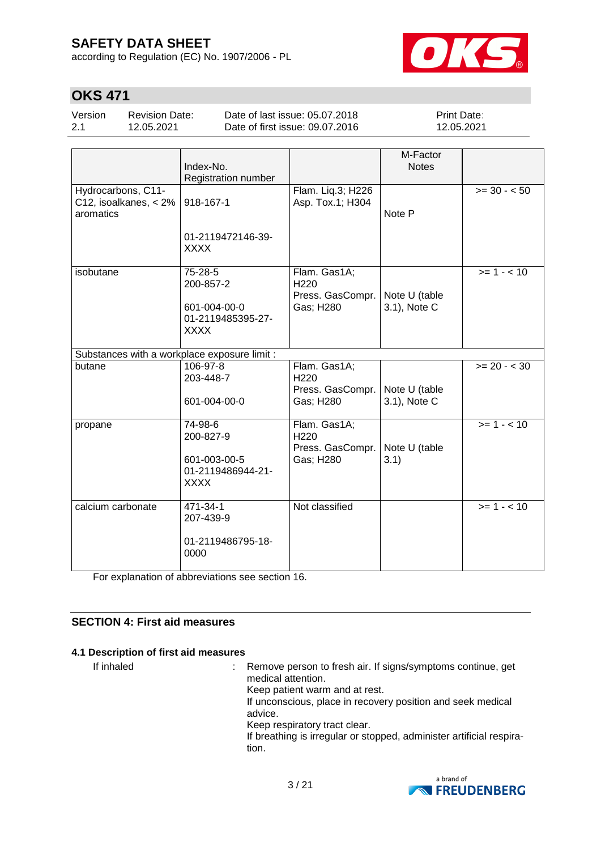according to Regulation (EC) No. 1907/2006 - PL



# **OKS 471**

| Version | <b>Revision Date:</b> | Date of last issue: 05.07.2018  | <b>Print Date:</b> |
|---------|-----------------------|---------------------------------|--------------------|
| 2.1     | 12.05.2021            | Date of first issue: 09.07.2016 | 12.05.2021         |

|                                                                | Index-No.<br>Registration number                                         |                                                                   | M-Factor<br><b>Notes</b>      |              |
|----------------------------------------------------------------|--------------------------------------------------------------------------|-------------------------------------------------------------------|-------------------------------|--------------|
| Hydrocarbons, C11-<br>$C12$ , isoalkanes, < $2\%$<br>aromatics | 918-167-1<br>01-2119472146-39-<br><b>XXXX</b>                            | Flam. Liq.3; H226<br>Asp. Tox.1; H304                             | Note P                        | $>= 30 - 50$ |
| isobutane                                                      | 75-28-5<br>200-857-2<br>601-004-00-0<br>01-2119485395-27-<br><b>XXXX</b> | Flam. Gas1A;<br>H <sub>220</sub><br>Press. GasCompr.<br>Gas; H280 | Note U (table<br>3.1), Note C | $>= 1 - 10$  |
| Substances with a workplace exposure limit :                   |                                                                          |                                                                   |                               |              |
| butane                                                         | 106-97-8<br>203-448-7<br>601-004-00-0                                    | Flam. Gas1A;<br>H220<br>Press. GasCompr.<br>Gas; H280             | Note U (table<br>3.1), Note C | $>= 20 - 30$ |
| propane                                                        | 74-98-6<br>200-827-9<br>601-003-00-5<br>01-2119486944-21-<br><b>XXXX</b> | Flam. Gas1A;<br>H <sub>220</sub><br>Press. GasCompr.<br>Gas; H280 | Note U (table<br>3.1)         | $>= 1 - 10$  |
| calcium carbonate                                              | 471-34-1<br>207-439-9<br>01-2119486795-18-<br>0000                       | Not classified                                                    |                               | $>= 1 - 10$  |

For explanation of abbreviations see section 16.

## **SECTION 4: First aid measures**

### **4.1 Description of first aid measures**

If inhaled : Remove person to fresh air. If signs/symptoms continue, get medical attention. Keep patient warm and at rest. If unconscious, place in recovery position and seek medical advice. Keep respiratory tract clear. If breathing is irregular or stopped, administer artificial respiration.

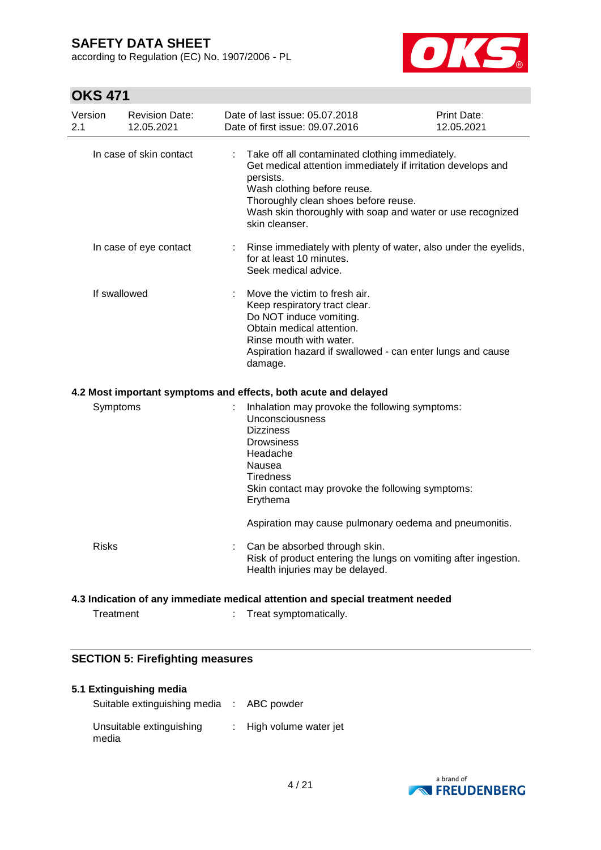according to Regulation (EC) No. 1907/2006 - PL



# **OKS 471**

| Version<br>2.1                                                  |              | <b>Revision Date:</b><br>12.05.2021 |   | Date of last issue: 05.07.2018<br>Date of first issue: 09.07.2016                                                                                                                                                                                                                   | Print Date:<br>12.05.2021 |  |
|-----------------------------------------------------------------|--------------|-------------------------------------|---|-------------------------------------------------------------------------------------------------------------------------------------------------------------------------------------------------------------------------------------------------------------------------------------|---------------------------|--|
|                                                                 |              | In case of skin contact             | ÷ | Take off all contaminated clothing immediately.<br>Get medical attention immediately if irritation develops and<br>persists.<br>Wash clothing before reuse.<br>Thoroughly clean shoes before reuse.<br>Wash skin thoroughly with soap and water or use recognized<br>skin cleanser. |                           |  |
|                                                                 |              | In case of eye contact              |   | Rinse immediately with plenty of water, also under the eyelids,<br>for at least 10 minutes.<br>Seek medical advice.                                                                                                                                                                 |                           |  |
|                                                                 | If swallowed |                                     |   | Move the victim to fresh air.<br>Keep respiratory tract clear.<br>Do NOT induce vomiting.<br>Obtain medical attention.<br>Rinse mouth with water.<br>Aspiration hazard if swallowed - can enter lungs and cause<br>damage.                                                          |                           |  |
| 4.2 Most important symptoms and effects, both acute and delayed |              |                                     |   |                                                                                                                                                                                                                                                                                     |                           |  |
|                                                                 | Symptoms     |                                     |   | Inhalation may provoke the following symptoms:<br><b>Unconsciousness</b><br><b>Dizziness</b><br><b>Drowsiness</b><br>Headache<br>Nausea<br>Tiredness<br>Skin contact may provoke the following symptoms:<br>Erythema                                                                |                           |  |
|                                                                 |              |                                     |   | Aspiration may cause pulmonary oedema and pneumonitis.                                                                                                                                                                                                                              |                           |  |
|                                                                 | <b>Risks</b> |                                     |   | Can be absorbed through skin.<br>Risk of product entering the lungs on vomiting after ingestion.<br>Health injuries may be delayed.                                                                                                                                                 |                           |  |
|                                                                 |              |                                     |   | 4.3 Indication of any immediate medical attention and special treatment needed                                                                                                                                                                                                      |                           |  |
|                                                                 | Treatment    |                                     |   | Treat symptomatically.                                                                                                                                                                                                                                                              |                           |  |

## **SECTION 5: Firefighting measures**

#### **5.1 Extinguishing media**

| Suitable extinguishing media : ABC powder |                       |
|-------------------------------------------|-----------------------|
| Unsuitable extinguishing<br>media         | High volume water jet |

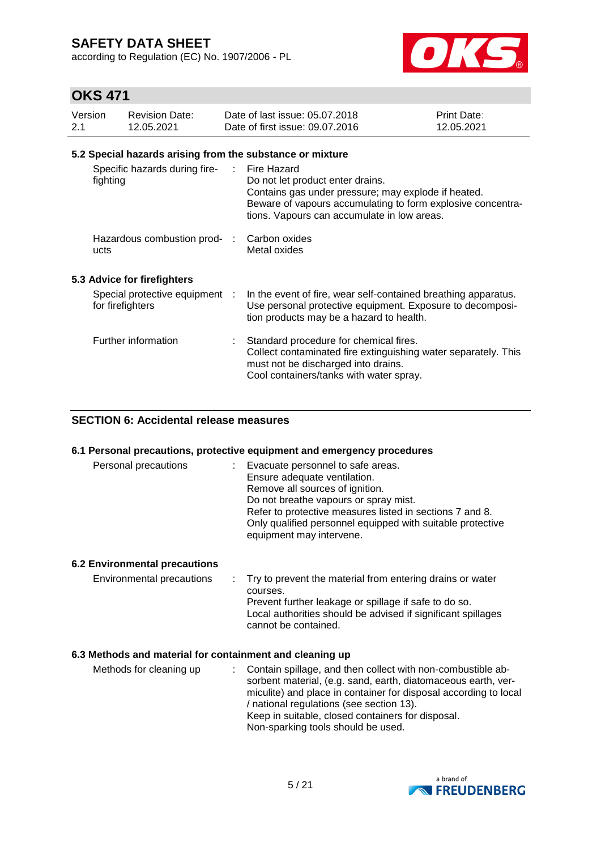according to Regulation (EC) No. 1907/2006 - PL



## **OKS 471**

| Version<br>2.1 | <b>Revision Date:</b><br>12.05.2021                       | Date of last issue: 05.07.2018<br>Date of first issue: 09.07.2016                                                                                                                                                      | Print Date:<br>12.05.2021 |
|----------------|-----------------------------------------------------------|------------------------------------------------------------------------------------------------------------------------------------------------------------------------------------------------------------------------|---------------------------|
|                | 5.2 Special hazards arising from the substance or mixture |                                                                                                                                                                                                                        |                           |
|                | Specific hazards during fire-<br>fighting                 | : Fire Hazard<br>Do not let product enter drains.<br>Contains gas under pressure; may explode if heated.<br>Beware of vapours accumulating to form explosive concentra-<br>tions. Vapours can accumulate in low areas. |                           |
|                | Hazardous combustion prod- :<br>ucts                      | Carbon oxides<br>Metal oxides                                                                                                                                                                                          |                           |
|                | 5.3 Advice for firefighters                               |                                                                                                                                                                                                                        |                           |
|                | Special protective equipment :<br>for firefighters        | In the event of fire, wear self-contained breathing apparatus.<br>Use personal protective equipment. Exposure to decomposi-<br>tion products may be a hazard to health.                                                |                           |
|                | Further information                                       | Standard procedure for chemical fires.<br>Collect contaminated fire extinguishing water separately. This<br>must not be discharged into drains.<br>Cool containers/tanks with water spray.                             |                           |

## **SECTION 6: Accidental release measures**

#### **6.1 Personal precautions, protective equipment and emergency procedures**

| Personal precautions | Evacuate personnel to safe areas.                          |
|----------------------|------------------------------------------------------------|
|                      | Ensure adequate ventilation.                               |
|                      | Remove all sources of ignition.                            |
|                      | Do not breathe vapours or spray mist.                      |
|                      | Refer to protective measures listed in sections 7 and 8.   |
|                      | Only qualified personnel equipped with suitable protective |
|                      | equipment may intervene.                                   |

### **6.2 Environmental precautions**

Environmental precautions : Try to prevent the material from entering drains or water courses. Prevent further leakage or spillage if safe to do so. Local authorities should be advised if significant spillages cannot be contained.

### **6.3 Methods and material for containment and cleaning up**

| Methods for cleaning up | : Contain spillage, and then collect with non-combustible ab-<br>sorbent material, (e.g. sand, earth, diatomaceous earth, ver-<br>miculite) and place in container for disposal according to local<br>/ national regulations (see section 13).<br>Keep in suitable, closed containers for disposal.<br>Non-sparking tools should be used. |
|-------------------------|-------------------------------------------------------------------------------------------------------------------------------------------------------------------------------------------------------------------------------------------------------------------------------------------------------------------------------------------|
|-------------------------|-------------------------------------------------------------------------------------------------------------------------------------------------------------------------------------------------------------------------------------------------------------------------------------------------------------------------------------------|

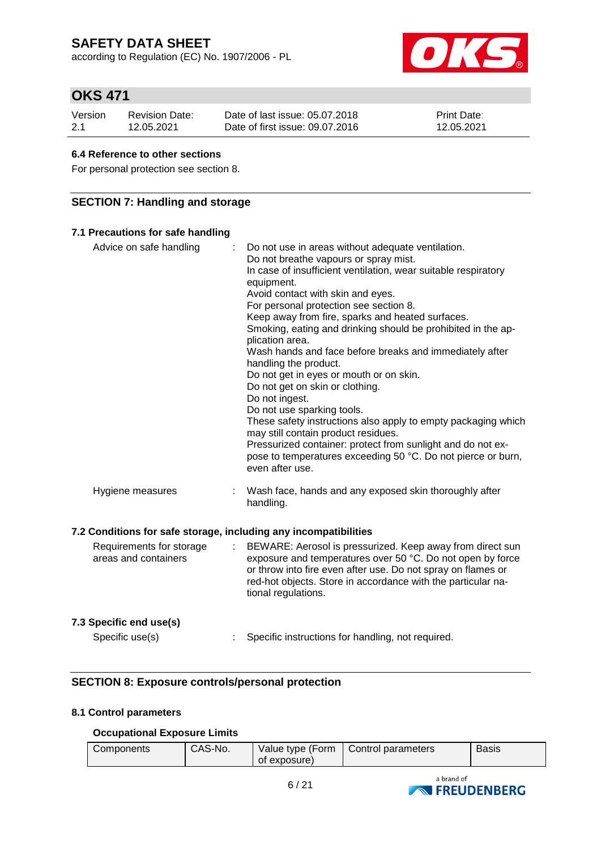according to Regulation (EC) No. 1907/2006 - PL



# **OKS 471**

| Version | Revision Date: | Date of last issue: 05.07.2018  | <b>Print Date:</b> |
|---------|----------------|---------------------------------|--------------------|
| 2.1     | 12.05.2021     | Date of first issue: 09.07.2016 | 12.05.2021         |

### **6.4 Reference to other sections**

For personal protection see section 8.

## **SECTION 7: Handling and storage**

| 7.1 Precautions for safe handling                                |                                                                                                                                                                                                                                                                                                                                                                                                                                                                                                                                                                                                                                                                                                                                                                                                                                                                              |
|------------------------------------------------------------------|------------------------------------------------------------------------------------------------------------------------------------------------------------------------------------------------------------------------------------------------------------------------------------------------------------------------------------------------------------------------------------------------------------------------------------------------------------------------------------------------------------------------------------------------------------------------------------------------------------------------------------------------------------------------------------------------------------------------------------------------------------------------------------------------------------------------------------------------------------------------------|
| Advice on safe handling                                          | Do not use in areas without adequate ventilation.<br>Do not breathe vapours or spray mist.<br>In case of insufficient ventilation, wear suitable respiratory<br>equipment.<br>Avoid contact with skin and eyes.<br>For personal protection see section 8.<br>Keep away from fire, sparks and heated surfaces.<br>Smoking, eating and drinking should be prohibited in the ap-<br>plication area.<br>Wash hands and face before breaks and immediately after<br>handling the product.<br>Do not get in eyes or mouth or on skin.<br>Do not get on skin or clothing.<br>Do not ingest.<br>Do not use sparking tools.<br>These safety instructions also apply to empty packaging which<br>may still contain product residues.<br>Pressurized container: protect from sunlight and do not ex-<br>pose to temperatures exceeding 50 °C. Do not pierce or burn,<br>even after use. |
| Hygiene measures                                                 | Wash face, hands and any exposed skin thoroughly after<br>handling.                                                                                                                                                                                                                                                                                                                                                                                                                                                                                                                                                                                                                                                                                                                                                                                                          |
| 7.2 Conditions for safe storage, including any incompatibilities |                                                                                                                                                                                                                                                                                                                                                                                                                                                                                                                                                                                                                                                                                                                                                                                                                                                                              |
| Requirements for storage<br>areas and containers                 | BEWARE: Aerosol is pressurized. Keep away from direct sun<br>exposure and temperatures over 50 °C. Do not open by force<br>or throw into fire even after use. Do not spray on flames or<br>red-hot objects. Store in accordance with the particular na-<br>tional regulations.                                                                                                                                                                                                                                                                                                                                                                                                                                                                                                                                                                                               |
| 7.3 Specific end use(s)                                          |                                                                                                                                                                                                                                                                                                                                                                                                                                                                                                                                                                                                                                                                                                                                                                                                                                                                              |
| Specific use(s)                                                  | Specific instructions for handling, not required.                                                                                                                                                                                                                                                                                                                                                                                                                                                                                                                                                                                                                                                                                                                                                                                                                            |

## **SECTION 8: Exposure controls/personal protection**

## **8.1 Control parameters**

### **Occupational Exposure Limits**

| CAS-No.<br>Value type (Form   Control parameters<br>Components<br>Basis<br>of exposure) |
|-----------------------------------------------------------------------------------------|
|-----------------------------------------------------------------------------------------|

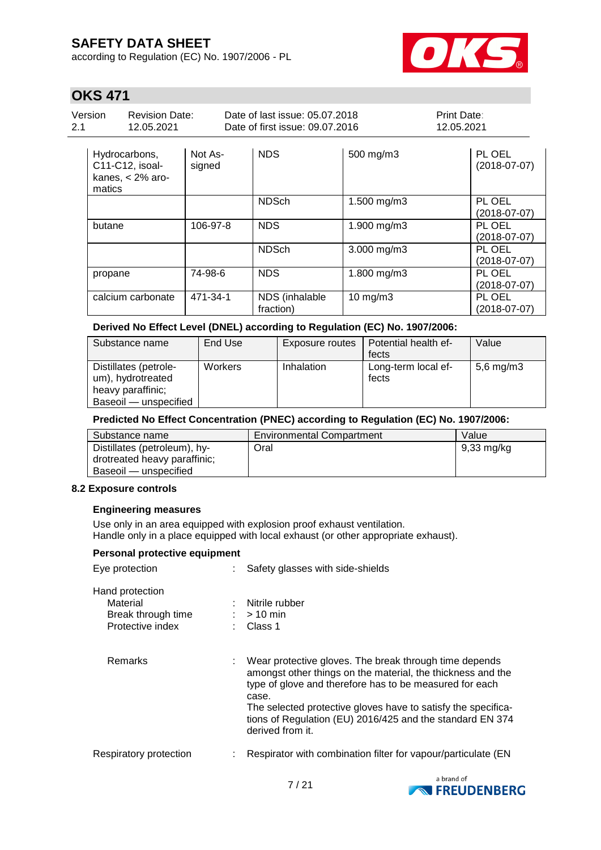according to Regulation (EC) No. 1907/2006 - PL



 $\overline{1}$ 

# **OKS 471**

| Version<br><b>Revision Date:</b><br>2.1<br>12.05.2021 |               |         | Date of last issue: 05.07.2018<br>Date of first issue: 09.07.2016 |           | <b>Print Date:</b><br>12.05.2021 |  |
|-------------------------------------------------------|---------------|---------|-------------------------------------------------------------------|-----------|----------------------------------|--|
|                                                       | Hydrocarbons, | Not As- | <b>NDS</b>                                                        | 500 mg/m3 | PL OEL                           |  |

| <b>TIYULOUGIDULIS,</b><br>C11-C12, isoal-<br>kanes, $<$ 2% aro-<br>matics | ־כה ושוו<br>signed | טשו                         | <b>OUU HIYHIIU</b> | 1 L VLL<br>$(2018-07-07)$    |
|---------------------------------------------------------------------------|--------------------|-----------------------------|--------------------|------------------------------|
|                                                                           |                    | <b>NDSch</b>                | 1.500 mg/m3        | PL OEL<br>$(2018 - 07 - 07)$ |
| butane                                                                    | 106-97-8           | <b>NDS</b>                  | 1.900 mg/m3        | PL OEL<br>$(2018-07-07)$     |
|                                                                           |                    | <b>NDSch</b>                | $3.000$ mg/m $3$   | PL OEL<br>(2018-07-07)       |
| propane                                                                   | 74-98-6            | <b>NDS</b>                  | 1.800 mg/m3        | PL OEL<br>(2018-07-07)       |
| calcium carbonate                                                         | 471-34-1           | NDS (inhalable<br>fraction) | $10$ mg/m $3$      | PL OEL<br>$(2018-07-07)$     |

## **Derived No Effect Level (DNEL) according to Regulation (EC) No. 1907/2006:**

| Substance name        | End Use | Exposure routes | Potential health ef- | Value        |
|-----------------------|---------|-----------------|----------------------|--------------|
|                       |         |                 | fects                |              |
| Distillates (petrole- | Workers | Inhalation      | Long-term local ef-  | 5,6 mg/m $3$ |
| um), hydrotreated     |         |                 | fects                |              |
| heavy paraffinic;     |         |                 |                      |              |
| Baseoil — unspecified |         |                 |                      |              |

#### **Predicted No Effect Concentration (PNEC) according to Regulation (EC) No. 1907/2006:**

| Substance name               | <b>Environmental Compartment</b> | Value      |
|------------------------------|----------------------------------|------------|
| Distillates (petroleum), hy- | Oral                             | 9,33 mg/kg |
| drotreated heavy paraffinic; |                                  |            |
| Baseoil — unspecified        |                                  |            |

### **8.2 Exposure controls**

### **Engineering measures**

Use only in an area equipped with explosion proof exhaust ventilation. Handle only in a place equipped with local exhaust (or other appropriate exhaust).

| Personal protective equipment                                         |  |                                                                                                                                                                                                                                                                                                                                             |  |  |  |  |
|-----------------------------------------------------------------------|--|---------------------------------------------------------------------------------------------------------------------------------------------------------------------------------------------------------------------------------------------------------------------------------------------------------------------------------------------|--|--|--|--|
| Eye protection                                                        |  | Safety glasses with side-shields                                                                                                                                                                                                                                                                                                            |  |  |  |  |
| Hand protection<br>Material<br>Break through time<br>Protective index |  | : Nitrile rubber<br>$:$ > 10 min<br>$\therefore$ Class 1                                                                                                                                                                                                                                                                                    |  |  |  |  |
| <b>Remarks</b>                                                        |  | Wear protective gloves. The break through time depends<br>amongst other things on the material, the thickness and the<br>type of glove and therefore has to be measured for each<br>case.<br>The selected protective gloves have to satisfy the specifica-<br>tions of Regulation (EU) 2016/425 and the standard EN 374<br>derived from it. |  |  |  |  |
| Respiratory protection                                                |  | Respirator with combination filter for vapour/particulate (EN                                                                                                                                                                                                                                                                               |  |  |  |  |

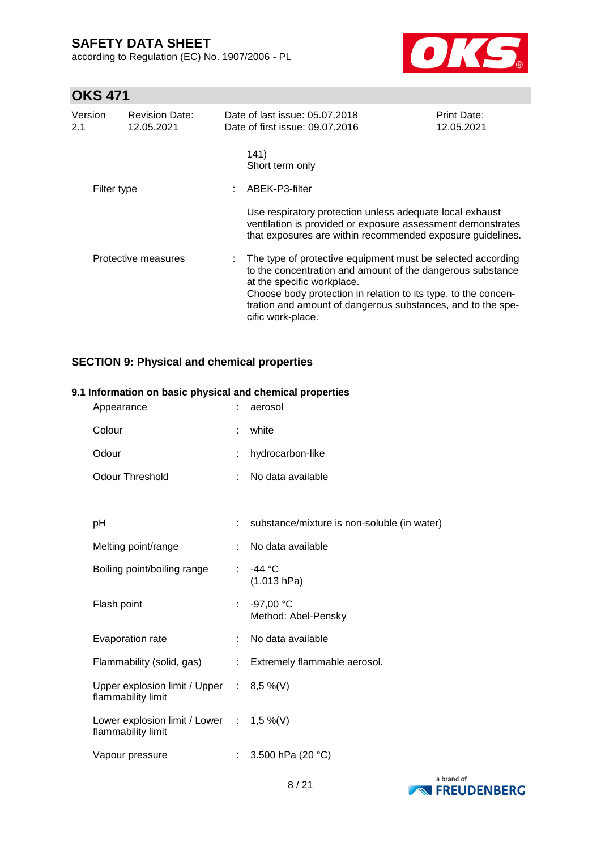according to Regulation (EC) No. 1907/2006 - PL



# **OKS 471**

| Version<br>2.1      | <b>Revision Date:</b><br>12.05.2021 | Date of last issue: 05.07.2018<br>Date of first issue: 09.07.2016                                                                                                                     | <b>Print Date:</b><br>12.05.2021                                                                                                                                                                                                                           |  |  |
|---------------------|-------------------------------------|---------------------------------------------------------------------------------------------------------------------------------------------------------------------------------------|------------------------------------------------------------------------------------------------------------------------------------------------------------------------------------------------------------------------------------------------------------|--|--|
| Filter type         |                                     | 141)<br>Short term only<br>ABEK-P3-filter                                                                                                                                             |                                                                                                                                                                                                                                                            |  |  |
| Protective measures |                                     | Use respiratory protection unless adequate local exhaust<br>ventilation is provided or exposure assessment demonstrates<br>that exposures are within recommended exposure guidelines. |                                                                                                                                                                                                                                                            |  |  |
|                     |                                     | at the specific workplace.<br>cific work-place.                                                                                                                                       | The type of protective equipment must be selected according<br>to the concentration and amount of the dangerous substance<br>Choose body protection in relation to its type, to the concen-<br>tration and amount of dangerous substances, and to the spe- |  |  |

## **SECTION 9: Physical and chemical properties**

### **9.1 Information on basic physical and chemical properties**

| Appearance                                                        |                           | aerosol                                     |
|-------------------------------------------------------------------|---------------------------|---------------------------------------------|
| Colour                                                            |                           | white                                       |
| Odour                                                             |                           | hydrocarbon-like                            |
| <b>Odour Threshold</b>                                            | ÷                         | No data available                           |
|                                                                   |                           |                                             |
| рH                                                                |                           | substance/mixture is non-soluble (in water) |
| Melting point/range                                               |                           | No data available                           |
| Boiling point/boiling range                                       | ÷.                        | -44 °C<br>(1.013 hPa)                       |
| Flash point                                                       | ÷                         | $-97,00$ °C<br>Method: Abel-Pensky          |
| Evaporation rate                                                  | ÷.                        | No data available                           |
| Flammability (solid, gas)                                         | $\mathbb{Z}^{\mathbb{Z}}$ | Extremely flammable aerosol.                |
| Upper explosion limit / Upper : 8,5 %(V)<br>flammability limit    |                           |                                             |
| Lower explosion limit / Lower : $1,5\%$ (V)<br>flammability limit |                           |                                             |
| Vapour pressure                                                   | ÷.                        | 3.500 hPa (20 °C)                           |

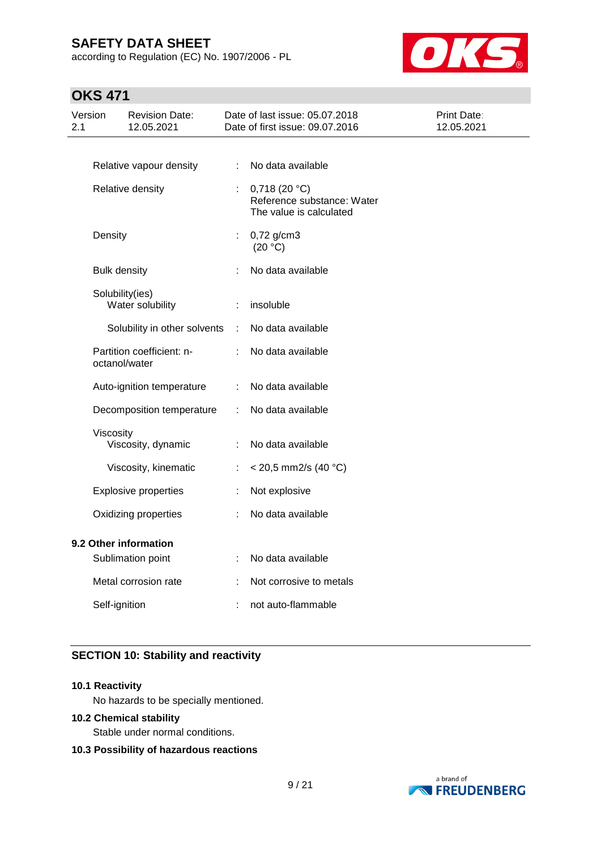according to Regulation (EC) No. 1907/2006 - PL



# **OKS 471**

| 2.1                   | Version             | <b>Revision Date:</b><br>12.05.2021 |                      | Date of last issue: 05.07.2018<br>Date of first issue: 09.07.2016     | <b>Print Date:</b><br>12.05.2021 |
|-----------------------|---------------------|-------------------------------------|----------------------|-----------------------------------------------------------------------|----------------------------------|
|                       |                     |                                     |                      |                                                                       |                                  |
|                       |                     | Relative vapour density             | ÷.                   | No data available                                                     |                                  |
|                       |                     | Relative density                    |                      | 0,718(20 °C)<br>Reference substance: Water<br>The value is calculated |                                  |
|                       | Density             |                                     | ÷                    | $0,72$ g/cm3<br>(20 °C)                                               |                                  |
|                       | <b>Bulk density</b> |                                     |                      | No data available                                                     |                                  |
|                       |                     | Solubility(ies)<br>Water solubility | ÷                    | insoluble                                                             |                                  |
|                       |                     | Solubility in other solvents        | $\ddot{\phantom{a}}$ | No data available                                                     |                                  |
|                       | octanol/water       | Partition coefficient: n-           |                      | No data available                                                     |                                  |
|                       |                     | Auto-ignition temperature           | ÷                    | No data available                                                     |                                  |
|                       |                     | Decomposition temperature           | ÷                    | No data available                                                     |                                  |
|                       | Viscosity           |                                     |                      |                                                                       |                                  |
|                       |                     | Viscosity, dynamic                  | ÷                    | No data available                                                     |                                  |
|                       |                     | Viscosity, kinematic                | ÷                    | $<$ 20,5 mm2/s (40 °C)                                                |                                  |
|                       |                     | <b>Explosive properties</b>         | ÷                    | Not explosive                                                         |                                  |
|                       |                     | Oxidizing properties                | ÷                    | No data available                                                     |                                  |
| 9.2 Other information |                     |                                     |                      |                                                                       |                                  |
|                       |                     | Sublimation point                   | ÷                    | No data available                                                     |                                  |
|                       |                     | Metal corrosion rate                |                      | Not corrosive to metals                                               |                                  |
|                       | Self-ignition       |                                     |                      | not auto-flammable                                                    |                                  |

## **SECTION 10: Stability and reactivity**

### **10.1 Reactivity**

No hazards to be specially mentioned.

### **10.2 Chemical stability**

Stable under normal conditions.

### **10.3 Possibility of hazardous reactions**

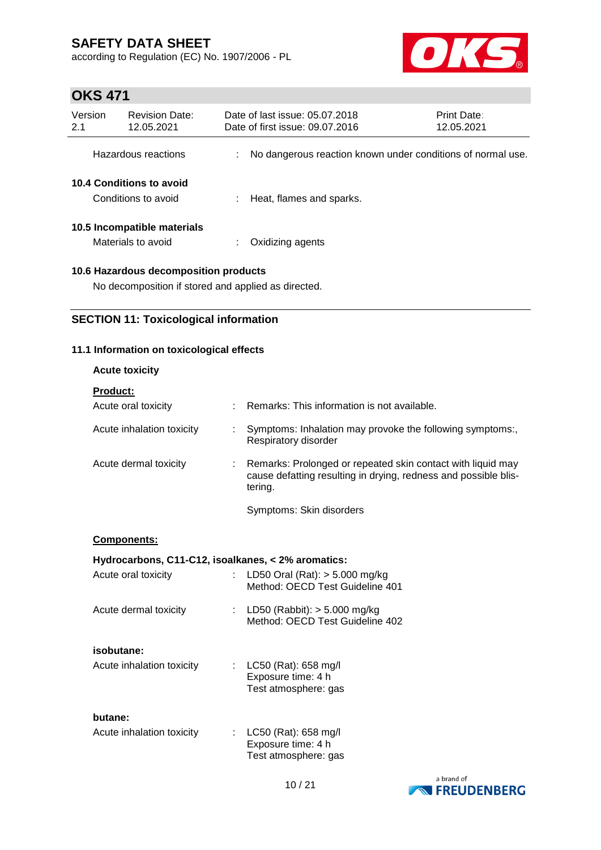according to Regulation (EC) No. 1907/2006 - PL



# **OKS 471**

| Version<br>2.1                                  | <b>Revision Date:</b><br>12.05.2021               | Date of last issue: 05.07.2018<br>Date of first issue: 09.07.2016 | <b>Print Date:</b><br>12.05.2021 |
|-------------------------------------------------|---------------------------------------------------|-------------------------------------------------------------------|----------------------------------|
|                                                 | Hazardous reactions                               | No dangerous reaction known under conditions of normal use.       |                                  |
| 10.4 Conditions to avoid<br>Conditions to avoid |                                                   | Heat, flames and sparks.                                          |                                  |
|                                                 | 10.5 Incompatible materials<br>Materials to avoid | Oxidizing agents                                                  |                                  |

## **10.6 Hazardous decomposition products**

No decomposition if stored and applied as directed.

## **SECTION 11: Toxicological information**

## **11.1 Information on toxicological effects**

| <b>Acute toxicity</b>                              |                                                                                                                                           |
|----------------------------------------------------|-------------------------------------------------------------------------------------------------------------------------------------------|
| <b>Product:</b>                                    |                                                                                                                                           |
| Acute oral toxicity                                | : Remarks: This information is not available.                                                                                             |
| Acute inhalation toxicity                          | Symptoms: Inhalation may provoke the following symptoms:,<br>Respiratory disorder                                                         |
| Acute dermal toxicity                              | Remarks: Prolonged or repeated skin contact with liquid may<br>cause defatting resulting in drying, redness and possible blis-<br>tering. |
|                                                    | Symptoms: Skin disorders                                                                                                                  |
| Components:                                        |                                                                                                                                           |
| Hydrocarbons, C11-C12, isoalkanes, < 2% aromatics: |                                                                                                                                           |
| Acute oral toxicity                                | : LD50 Oral (Rat): $>$ 5.000 mg/kg<br>Method: OECD Test Guideline 401                                                                     |
| Acute dermal toxicity                              | : LD50 (Rabbit): $> 5.000$ mg/kg<br>Method: OECD Test Guideline 402                                                                       |
| isobutane:                                         |                                                                                                                                           |
| Acute inhalation toxicity                          | : LC50 (Rat): 658 mg/l<br>Exposure time: 4 h<br>Test atmosphere: gas                                                                      |
| butane:                                            |                                                                                                                                           |
| Acute inhalation toxicity                          | LC50 (Rat): 658 mg/l<br>Exposure time: 4 h<br>Test atmosphere: gas                                                                        |

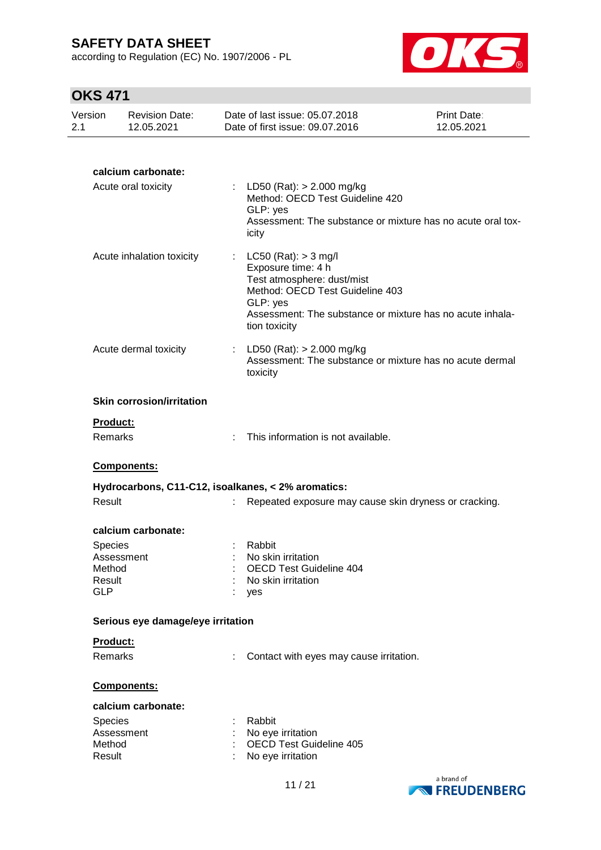according to Regulation (EC) No. 1907/2006 - PL



# **OKS 471**

| Version<br>2.1 | <b>Revision Date:</b><br>12.05.2021                                    |    | Date of last issue: 05.07.2018<br>Date of first issue: 09.07.2016                                                                                                                                       | Print Date:<br>12.05.2021 |
|----------------|------------------------------------------------------------------------|----|---------------------------------------------------------------------------------------------------------------------------------------------------------------------------------------------------------|---------------------------|
|                |                                                                        |    |                                                                                                                                                                                                         |                           |
|                | calcium carbonate:<br>Acute oral toxicity                              |    | LD50 (Rat): > 2.000 mg/kg<br>Method: OECD Test Guideline 420<br>GLP: yes<br>Assessment: The substance or mixture has no acute oral tox-<br>icity                                                        |                           |
|                | Acute inhalation toxicity                                              | t. | LC50 (Rat): $>$ 3 mg/l<br>Exposure time: 4 h<br>Test atmosphere: dust/mist<br>Method: OECD Test Guideline 403<br>GLP: yes<br>Assessment: The substance or mixture has no acute inhala-<br>tion toxicity |                           |
|                | Acute dermal toxicity                                                  |    | : LD50 (Rat): $> 2.000$ mg/kg<br>Assessment: The substance or mixture has no acute dermal<br>toxicity                                                                                                   |                           |
|                | <b>Skin corrosion/irritation</b>                                       |    |                                                                                                                                                                                                         |                           |
|                | <b>Product:</b><br>Remarks                                             |    | This information is not available.                                                                                                                                                                      |                           |
|                | Components:                                                            |    |                                                                                                                                                                                                         |                           |
|                | Hydrocarbons, C11-C12, isoalkanes, < 2% aromatics:                     |    |                                                                                                                                                                                                         |                           |
|                | Result                                                                 |    | Repeated exposure may cause skin dryness or cracking.                                                                                                                                                   |                           |
|                | calcium carbonate:<br><b>Species</b><br>Assessment                     |    | Rabbit<br>No skin irritation                                                                                                                                                                            |                           |
|                | Method<br>Result<br><b>GLP</b>                                         |    | <b>OECD Test Guideline 404</b><br>No skin irritation<br>yes                                                                                                                                             |                           |
|                | Serious eye damage/eye irritation                                      |    |                                                                                                                                                                                                         |                           |
|                | Product:                                                               |    |                                                                                                                                                                                                         |                           |
|                | Remarks                                                                |    | Contact with eyes may cause irritation.                                                                                                                                                                 |                           |
|                | Components:                                                            |    |                                                                                                                                                                                                         |                           |
|                | calcium carbonate:<br><b>Species</b><br>Assessment<br>Method<br>Result |    | Rabbit<br>No eye irritation<br><b>OECD Test Guideline 405</b><br>No eye irritation                                                                                                                      |                           |
|                |                                                                        |    |                                                                                                                                                                                                         |                           |

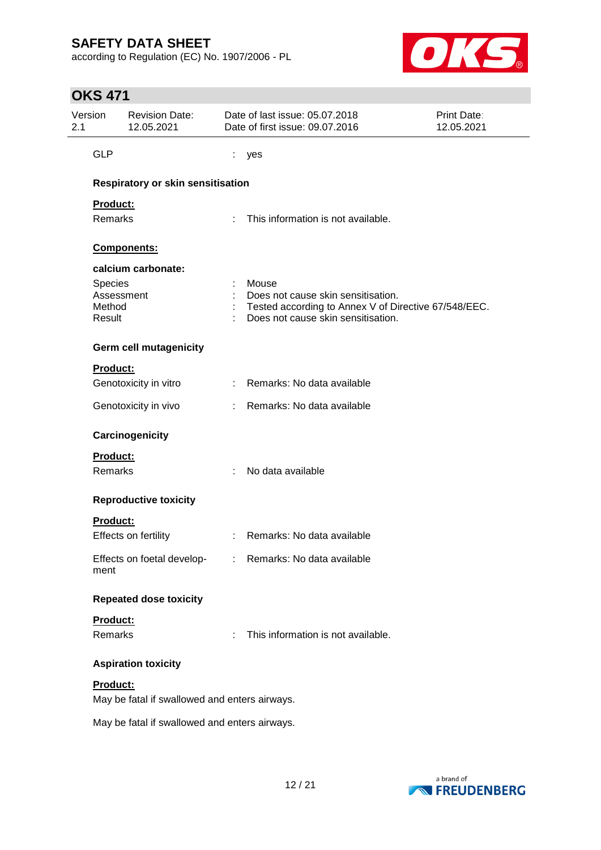according to Regulation (EC) No. 1907/2006 - PL



# **OKS 471**

| Version<br>2.1   | <b>Revision Date:</b><br>12.05.2021           |    | Date of last issue: 05.07.2018<br>Date of first issue: 09.07.2016                          | <b>Print Date:</b><br>12.05.2021 |
|------------------|-----------------------------------------------|----|--------------------------------------------------------------------------------------------|----------------------------------|
| <b>GLP</b>       |                                               | t  | yes                                                                                        |                                  |
|                  | <b>Respiratory or skin sensitisation</b>      |    |                                                                                            |                                  |
| Product:         |                                               |    |                                                                                            |                                  |
| Remarks          |                                               | ÷. | This information is not available.                                                         |                                  |
|                  | Components:                                   |    |                                                                                            |                                  |
|                  | calcium carbonate:                            |    |                                                                                            |                                  |
| Species          |                                               |    | Mouse                                                                                      |                                  |
|                  | Assessment                                    |    | Does not cause skin sensitisation.                                                         |                                  |
| Method<br>Result |                                               |    | Tested according to Annex V of Directive 67/548/EEC.<br>Does not cause skin sensitisation. |                                  |
|                  | <b>Germ cell mutagenicity</b>                 |    |                                                                                            |                                  |
| <b>Product:</b>  |                                               |    |                                                                                            |                                  |
|                  | Genotoxicity in vitro                         |    | : Remarks: No data available                                                               |                                  |
|                  | Genotoxicity in vivo                          | t. | Remarks: No data available                                                                 |                                  |
|                  | Carcinogenicity                               |    |                                                                                            |                                  |
| <b>Product:</b>  |                                               |    |                                                                                            |                                  |
| Remarks          |                                               |    | No data available                                                                          |                                  |
|                  | <b>Reproductive toxicity</b>                  |    |                                                                                            |                                  |
| <b>Product:</b>  |                                               |    |                                                                                            |                                  |
|                  | Effects on fertility                          |    | Remarks: No data available                                                                 |                                  |
| ment             | Effects on foetal develop-                    |    | Remarks: No data available                                                                 |                                  |
|                  | <b>Repeated dose toxicity</b>                 |    |                                                                                            |                                  |
| <b>Product:</b>  |                                               |    |                                                                                            |                                  |
| Remarks          |                                               |    | This information is not available.                                                         |                                  |
|                  | <b>Aspiration toxicity</b>                    |    |                                                                                            |                                  |
| Product:         |                                               |    |                                                                                            |                                  |
|                  | May be fatal if swallowed and enters airways. |    |                                                                                            |                                  |
|                  | May be fatal if swallowed and enters airways. |    |                                                                                            |                                  |

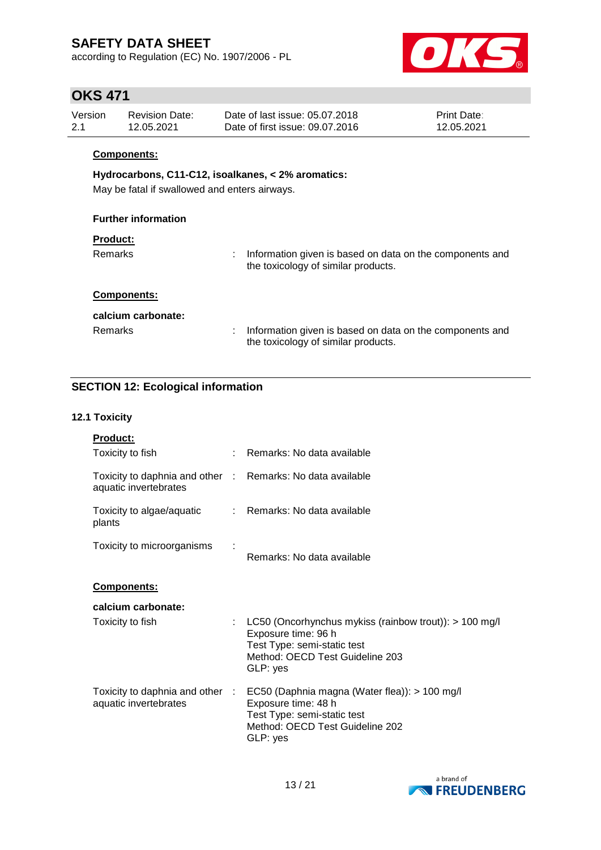according to Regulation (EC) No. 1907/2006 - PL



## **OKS 471**

| Version | <b>Revision Date:</b> | Date of last issue: 05.07.2018  | <b>Print Date:</b> |
|---------|-----------------------|---------------------------------|--------------------|
| 2.1     | 12.05.2021            | Date of first issue: 09.07.2016 | 12.05.2021         |

### **Components:**

## **Hydrocarbons, C11-C12, isoalkanes, < 2% aromatics:**

May be fatal if swallowed and enters airways.

### **Further information**

#### **Product:**

Remarks : Information given is based on data on the components and the toxicology of similar products.

### **Components:**

| calcium carbonate: |                                                                                                   |
|--------------------|---------------------------------------------------------------------------------------------------|
| Remarks            | : Information given is based on data on the components and<br>the toxicology of similar products. |

## **SECTION 12: Ecological information**

### **12.1 Toxicity**

| <b>Product:</b>                                                                     |                                                                                                                                                   |
|-------------------------------------------------------------------------------------|---------------------------------------------------------------------------------------------------------------------------------------------------|
| Toxicity to fish                                                                    | : Remarks: No data available                                                                                                                      |
| Toxicity to daphnia and other : Remarks: No data available<br>aquatic invertebrates |                                                                                                                                                   |
| Toxicity to algae/aquatic<br>plants                                                 | : Remarks: No data available                                                                                                                      |
| Toxicity to microorganisms                                                          | Remarks: No data available                                                                                                                        |
| Components:                                                                         |                                                                                                                                                   |
| calcium carbonate:                                                                  |                                                                                                                                                   |
| Toxicity to fish                                                                    | LC50 (Oncorhynchus mykiss (rainbow trout)): $> 100$ mg/l<br>Exposure time: 96 h<br>Test Type: semi-static test<br>Method: OECD Test Guideline 203 |
|                                                                                     | GLP: yes                                                                                                                                          |

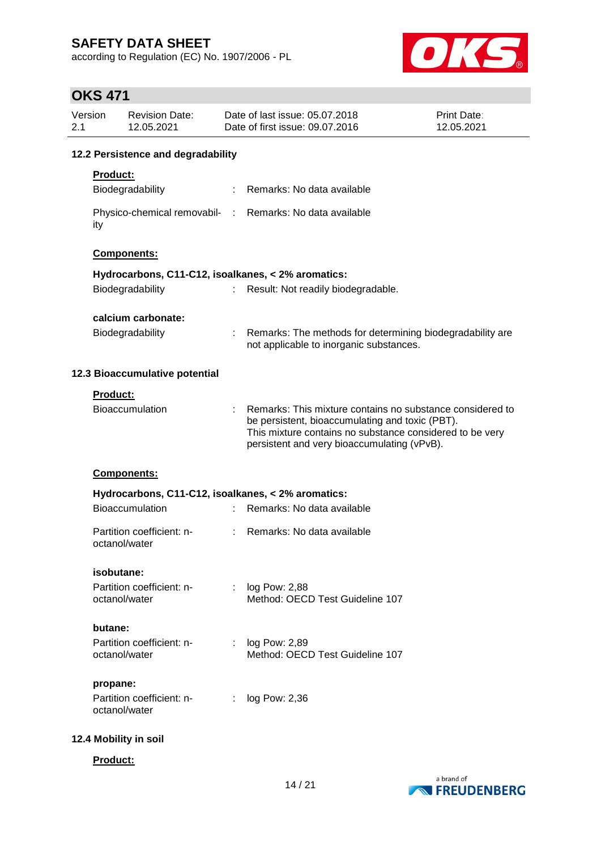according to Regulation (EC) No. 1907/2006 - PL



# **OKS 471**

| Version<br>2.1 |                                    | <b>Revision Date:</b><br>12.05.2021        |    | Date of last issue: 05.07.2018<br>Date of first issue: 09.07.2016                                                                                                                                                       | <b>Print Date:</b><br>12.05.2021 |  |  |
|----------------|------------------------------------|--------------------------------------------|----|-------------------------------------------------------------------------------------------------------------------------------------------------------------------------------------------------------------------------|----------------------------------|--|--|
|                | 12.2 Persistence and degradability |                                            |    |                                                                                                                                                                                                                         |                                  |  |  |
|                | <b>Product:</b>                    |                                            |    |                                                                                                                                                                                                                         |                                  |  |  |
|                |                                    | Biodegradability                           |    | : Remarks: No data available                                                                                                                                                                                            |                                  |  |  |
|                | ity                                |                                            |    | Physico-chemical removabil- : Remarks: No data available                                                                                                                                                                |                                  |  |  |
|                |                                    | Components:                                |    |                                                                                                                                                                                                                         |                                  |  |  |
|                |                                    |                                            |    | Hydrocarbons, C11-C12, isoalkanes, < 2% aromatics:                                                                                                                                                                      |                                  |  |  |
|                |                                    | Biodegradability                           |    | Result: Not readily biodegradable.                                                                                                                                                                                      |                                  |  |  |
|                |                                    | calcium carbonate:                         |    |                                                                                                                                                                                                                         |                                  |  |  |
|                |                                    | Biodegradability                           |    | Remarks: The methods for determining biodegradability are<br>not applicable to inorganic substances.                                                                                                                    |                                  |  |  |
|                |                                    | 12.3 Bioaccumulative potential             |    |                                                                                                                                                                                                                         |                                  |  |  |
|                | <b>Product:</b>                    |                                            |    |                                                                                                                                                                                                                         |                                  |  |  |
|                |                                    | <b>Bioaccumulation</b>                     |    | Remarks: This mixture contains no substance considered to<br>be persistent, bioaccumulating and toxic (PBT).<br>This mixture contains no substance considered to be very<br>persistent and very bioaccumulating (vPvB). |                                  |  |  |
|                |                                    | Components:                                |    |                                                                                                                                                                                                                         |                                  |  |  |
|                |                                    |                                            |    | Hydrocarbons, C11-C12, isoalkanes, < 2% aromatics:                                                                                                                                                                      |                                  |  |  |
|                |                                    | Bioaccumulation                            |    | Remarks: No data available                                                                                                                                                                                              |                                  |  |  |
|                |                                    | Partition coefficient: n-<br>octanol/water |    | Remarks: No data available                                                                                                                                                                                              |                                  |  |  |
|                | isobutane:                         |                                            |    |                                                                                                                                                                                                                         |                                  |  |  |
|                |                                    | Partition coefficient: n-<br>octanol/water | t. | log Pow: 2,88<br>Method: OECD Test Guideline 107                                                                                                                                                                        |                                  |  |  |
|                | butane:                            |                                            |    |                                                                                                                                                                                                                         |                                  |  |  |
|                |                                    | Partition coefficient: n-<br>octanol/water |    | log Pow: 2,89<br>Method: OECD Test Guideline 107                                                                                                                                                                        |                                  |  |  |
|                | propane:                           |                                            |    |                                                                                                                                                                                                                         |                                  |  |  |
|                |                                    | Partition coefficient: n-<br>octanol/water |    | log Pow: 2,36                                                                                                                                                                                                           |                                  |  |  |
|                |                                    | 12.4 Mobility in soil                      |    |                                                                                                                                                                                                                         |                                  |  |  |
|                | Product:                           |                                            |    |                                                                                                                                                                                                                         |                                  |  |  |

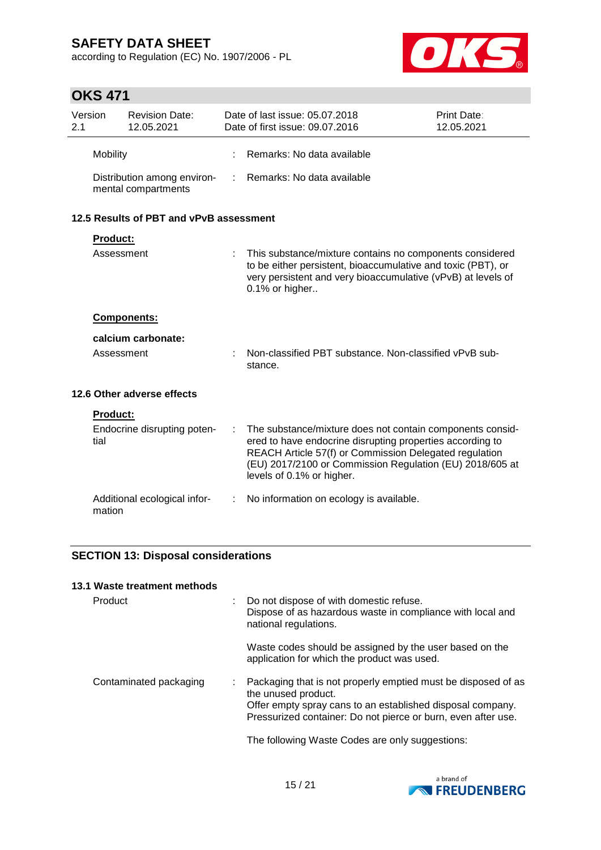according to Regulation (EC) No. 1907/2006 - PL



# **OKS 471**

| Version<br>2.1 |                 | <b>Revision Date:</b><br>12.05.2021                |   | Date of last issue: 05.07.2018<br>Date of first issue: 09.07.2016                                                                                                                                                                                                         | Print Date:<br>12.05.2021 |
|----------------|-----------------|----------------------------------------------------|---|---------------------------------------------------------------------------------------------------------------------------------------------------------------------------------------------------------------------------------------------------------------------------|---------------------------|
|                | Mobility        |                                                    |   | Remarks: No data available                                                                                                                                                                                                                                                |                           |
|                |                 | Distribution among environ-<br>mental compartments | ÷ | Remarks: No data available                                                                                                                                                                                                                                                |                           |
|                |                 | 12.5 Results of PBT and vPvB assessment            |   |                                                                                                                                                                                                                                                                           |                           |
|                | <b>Product:</b> |                                                    |   |                                                                                                                                                                                                                                                                           |                           |
|                | Assessment      |                                                    |   | This substance/mixture contains no components considered<br>to be either persistent, bioaccumulative and toxic (PBT), or<br>very persistent and very bioaccumulative (vPvB) at levels of<br>0.1% or higher                                                                |                           |
|                |                 | Components:                                        |   |                                                                                                                                                                                                                                                                           |                           |
|                |                 | calcium carbonate:                                 |   |                                                                                                                                                                                                                                                                           |                           |
|                | Assessment      |                                                    |   | Non-classified PBT substance. Non-classified vPvB sub-<br>stance.                                                                                                                                                                                                         |                           |
|                |                 | 12.6 Other adverse effects                         |   |                                                                                                                                                                                                                                                                           |                           |
|                | <b>Product:</b> |                                                    |   |                                                                                                                                                                                                                                                                           |                           |
|                | tial            | Endocrine disrupting poten-                        | ÷ | The substance/mixture does not contain components consid-<br>ered to have endocrine disrupting properties according to<br>REACH Article 57(f) or Commission Delegated regulation<br>(EU) 2017/2100 or Commission Regulation (EU) 2018/605 at<br>levels of 0.1% or higher. |                           |
|                | mation          | Additional ecological infor-                       | ÷ | No information on ecology is available.                                                                                                                                                                                                                                   |                           |

## **SECTION 13: Disposal considerations**

| 13.1 Waste treatment methods |                                                                                                                                                                                                                     |
|------------------------------|---------------------------------------------------------------------------------------------------------------------------------------------------------------------------------------------------------------------|
| Product                      | Do not dispose of with domestic refuse.<br>Dispose of as hazardous waste in compliance with local and<br>national regulations.                                                                                      |
|                              | Waste codes should be assigned by the user based on the<br>application for which the product was used.                                                                                                              |
| Contaminated packaging       | Packaging that is not properly emptied must be disposed of as<br>the unused product.<br>Offer empty spray cans to an established disposal company.<br>Pressurized container: Do not pierce or burn, even after use. |
|                              | The following Waste Codes are only suggestions:                                                                                                                                                                     |

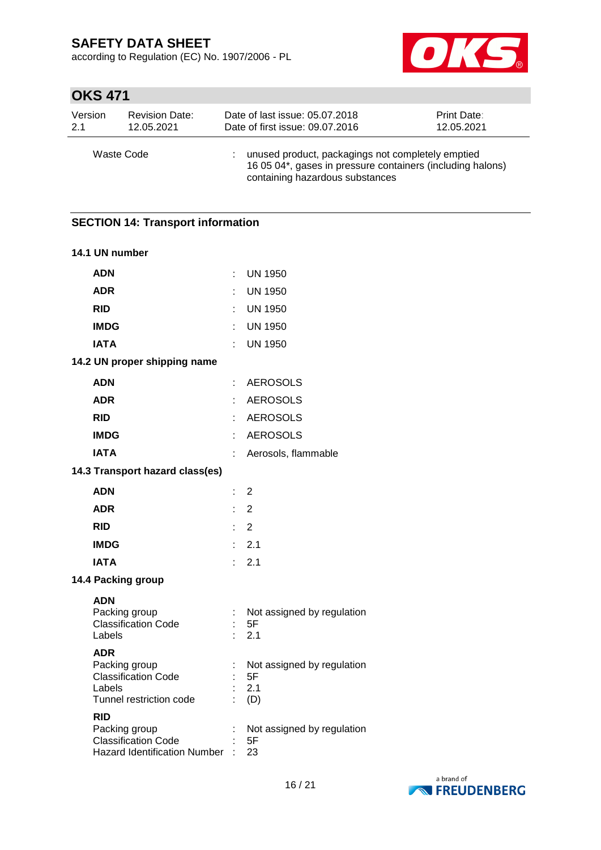according to Regulation (EC) No. 1907/2006 - PL



# **OKS 471**

| Version    | <b>Revision Date:</b> | Date of last issue: 05.07.2018                                                                                                                     | <b>Print Date:</b> |
|------------|-----------------------|----------------------------------------------------------------------------------------------------------------------------------------------------|--------------------|
| 2.1        | 12.05.2021            | Date of first issue: 09.07.2016                                                                                                                    | 12.05.2021         |
| Waste Code |                       | unused product, packagings not completely emptied<br>16 05 04*, gases in pressure containers (including halons)<br>containing hazardous substances |                    |

# **SECTION 14: Transport information 14.1 UN number ADN** : UN 1950 **ADR** : UN 1950 **RID** : UN 1950 **IMDG** : UN 1950 **IATA** : UN 1950 **14.2 UN proper shipping name ADN** : AEROSOLS **ADR** : AEROSOLS **RID** : AEROSOLS **IMDG** : AEROSOLS **IATA** : Aerosols, flammable **14.3 Transport hazard class(es) ADN** : 2 **ADR** : 2 **RID** : 2 **IMDG** : 2.1 **IATA** : 2.1 **14.4 Packing group ADN** Packing group : Not assigned by regulation Classification Code : 5F<br>Labels : 2.1  $\therefore$  2.1 **ADR** Packing group : Not assigned by regulation Classification Code : 5F Labels : 2.1 Tunnel restriction code : (D) **RID** Packing group : Not assigned by regulation Classification Code : 5F Hazard Identification Number : 23

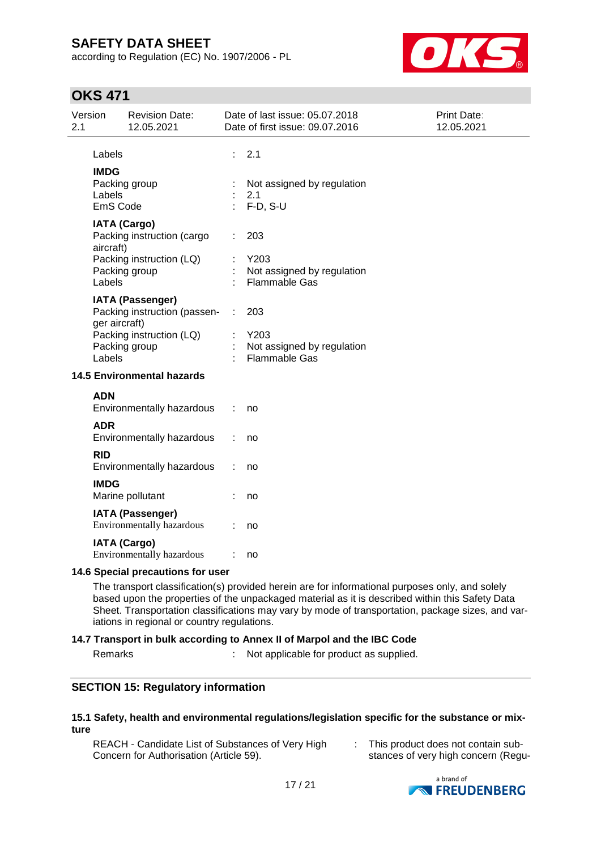according to Regulation (EC) No. 1907/2006 - PL



# **OKS 471**

| 2.1 | Version                           | <b>Revision Date:</b><br>12.05.2021                     |    | Date of last issue: 05.07.2018<br>Date of first issue: 09.07.2016 | Print Date:<br>12.05.2021 |
|-----|-----------------------------------|---------------------------------------------------------|----|-------------------------------------------------------------------|---------------------------|
|     | Labels                            |                                                         | ÷  | 2.1                                                               |                           |
|     | <b>IMDG</b><br>Labels<br>EmS Code | Packing group                                           | ÷. | Not assigned by regulation<br>2.1<br>$F-D, S-U$                   |                           |
|     | aircraft)                         | <b>IATA (Cargo)</b><br>Packing instruction (cargo       |    | 203                                                               |                           |
|     | Labels                            | Packing instruction (LQ)<br>Packing group               |    | Y203<br>Not assigned by regulation<br><b>Flammable Gas</b>        |                           |
|     | ger aircraft)                     | <b>IATA (Passenger)</b><br>Packing instruction (passen- | ÷  | 203<br>Y203                                                       |                           |
|     | Labels                            | Packing instruction (LQ)<br>Packing group               |    | Not assigned by regulation<br>Flammable Gas                       |                           |
|     |                                   | <b>14.5 Environmental hazards</b>                       |    |                                                                   |                           |
|     | <b>ADN</b>                        | Environmentally hazardous                               |    | no                                                                |                           |
|     | <b>ADR</b>                        | Environmentally hazardous                               |    | no                                                                |                           |
|     | <b>RID</b>                        | Environmentally hazardous                               |    | no                                                                |                           |
|     | <b>IMDG</b>                       | Marine pollutant                                        |    | no                                                                |                           |
|     |                                   | <b>IATA (Passenger)</b><br>Environmentally hazardous    |    | no                                                                |                           |
|     |                                   | <b>IATA (Cargo)</b><br>Environmentally hazardous        |    | no                                                                |                           |

### **14.6 Special precautions for user**

The transport classification(s) provided herein are for informational purposes only, and solely based upon the properties of the unpackaged material as it is described within this Safety Data Sheet. Transportation classifications may vary by mode of transportation, package sizes, and variations in regional or country regulations.

### **14.7 Transport in bulk according to Annex II of Marpol and the IBC Code**

Remarks : Not applicable for product as supplied.

## **SECTION 15: Regulatory information**

#### **15.1 Safety, health and environmental regulations/legislation specific for the substance or mixture**

REACH - Candidate List of Substances of Very High Concern for Authorisation (Article 59).

: This product does not contain substances of very high concern (Regu-

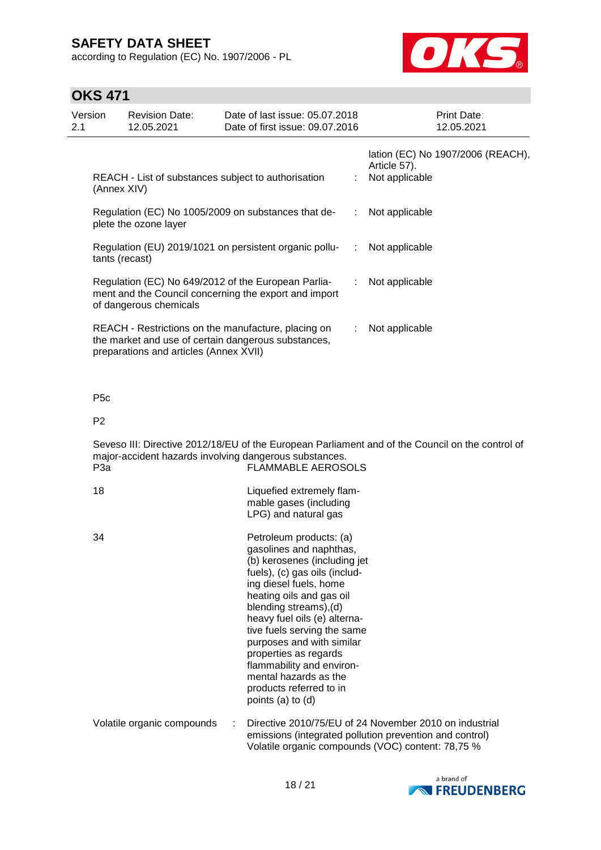according to Regulation (EC) No. 1907/2006 - PL



# **OKS 471**

| Version<br>2.1 | <b>Revision Date:</b><br>12.05.2021                                                                                                    | Date of last issue: 05.07.2018<br>Date of first issue: 09.07.2016                                          |                | <b>Print Date:</b><br>12.05.2021                                    |
|----------------|----------------------------------------------------------------------------------------------------------------------------------------|------------------------------------------------------------------------------------------------------------|----------------|---------------------------------------------------------------------|
|                | (Annex XIV)                                                                                                                            | REACH - List of substances subject to authorisation                                                        |                | lation (EC) No 1907/2006 (REACH),<br>Article 57).<br>Not applicable |
|                | plete the ozone layer                                                                                                                  | Regulation (EC) No 1005/2009 on substances that de-                                                        | ÷.             | Not applicable                                                      |
|                | tants (recast)                                                                                                                         | Regulation (EU) 2019/1021 on persistent organic pollu-                                                     | ÷              | Not applicable                                                      |
|                | Regulation (EC) No 649/2012 of the European Parlia-<br>ment and the Council concerning the export and import<br>of dangerous chemicals | ÷.                                                                                                         | Not applicable |                                                                     |
|                | preparations and articles (Annex XVII)                                                                                                 | REACH - Restrictions on the manufacture, placing on<br>the market and use of certain dangerous substances, |                | Not applicable                                                      |

P5c

P2

Seveso III: Directive 2012/18/EU of the European Parliament and of the Council on the control of major-accident hazards involving dangerous substances. P3a FLAMMABLE AEROSOLS

| 18                         | Liquefied extremely flam-<br>mable gases (including<br>LPG) and natural gas                                                                                                                                                                                                                                                                                                                                                    |
|----------------------------|--------------------------------------------------------------------------------------------------------------------------------------------------------------------------------------------------------------------------------------------------------------------------------------------------------------------------------------------------------------------------------------------------------------------------------|
| 34                         | Petroleum products: (a)<br>gasolines and naphthas,<br>(b) kerosenes (including jet<br>fuels), (c) gas oils (includ-<br>ing diesel fuels, home<br>heating oils and gas oil<br>blending streams), (d)<br>heavy fuel oils (e) alterna-<br>tive fuels serving the same<br>purposes and with similar<br>properties as regards<br>flammability and environ-<br>mental hazards as the<br>products referred to in<br>points (a) to (d) |
| Volatile organic compounds | Directive 2010/75/EU of 24 November 2010 on industrial<br>emissions (integrated pollution prevention and control)<br>Volatile organic compounds (VOC) content: 78,75 %                                                                                                                                                                                                                                                         |

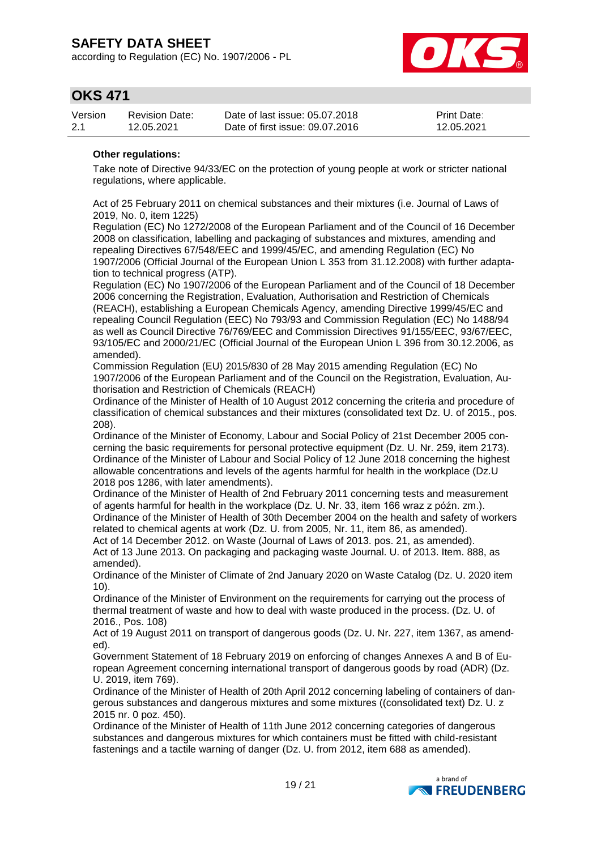according to Regulation (EC) No. 1907/2006 - PL



## **OKS 471**

| Version | <b>Revision Date:</b> | Date of last issue: 05.07.2018  | <b>Print Date:</b> |
|---------|-----------------------|---------------------------------|--------------------|
| -2.1    | 12.05.2021            | Date of first issue: 09.07.2016 | 12.05.2021         |

### **Other regulations:**

Take note of Directive 94/33/EC on the protection of young people at work or stricter national regulations, where applicable.

Act of 25 February 2011 on chemical substances and their mixtures (i.e. Journal of Laws of 2019, No. 0, item 1225)

Regulation (EC) No 1272/2008 of the European Parliament and of the Council of 16 December 2008 on classification, labelling and packaging of substances and mixtures, amending and repealing Directives 67/548/EEC and 1999/45/EC, and amending Regulation (EC) No 1907/2006 (Official Journal of the European Union L 353 from 31.12.2008) with further adaptation to technical progress (ATP).

Regulation (EC) No 1907/2006 of the European Parliament and of the Council of 18 December 2006 concerning the Registration, Evaluation, Authorisation and Restriction of Chemicals (REACH), establishing a European Chemicals Agency, amending Directive 1999/45/EC and repealing Council Regulation (EEC) No 793/93 and Commission Regulation (EC) No 1488/94 as well as Council Directive 76/769/EEC and Commission Directives 91/155/EEC, 93/67/EEC, 93/105/EC and 2000/21/EC (Official Journal of the European Union L 396 from 30.12.2006, as amended).

Commission Regulation (EU) 2015/830 of 28 May 2015 amending Regulation (EC) No 1907/2006 of the European Parliament and of the Council on the Registration, Evaluation, Authorisation and Restriction of Chemicals (REACH)

Ordinance of the Minister of Health of 10 August 2012 concerning the criteria and procedure of classification of chemical substances and their mixtures (consolidated text Dz. U. of 2015., pos. 208).

Ordinance of the Minister of Economy, Labour and Social Policy of 21st December 2005 concerning the basic requirements for personal protective equipment (Dz. U. Nr. 259, item 2173). Ordinance of the Minister of Labour and Social Policy of 12 June 2018 concerning the highest allowable concentrations and levels of the agents harmful for health in the workplace (Dz.U 2018 pos 1286, with later amendments).

Ordinance of the Minister of Health of 2nd February 2011 concerning tests and measurement of agents harmful for health in the workplace (Dz. U. Nr. 33, item 166 wraz z późn. zm.). Ordinance of the Minister of Health of 30th December 2004 on the health and safety of workers related to chemical agents at work (Dz. U. from 2005, Nr. 11, item 86, as amended).

Act of 14 December 2012. on Waste (Journal of Laws of 2013. pos. 21, as amended). Act of 13 June 2013. On packaging and packaging waste Journal. U. of 2013. Item. 888, as amended).

Ordinance of the Minister of Climate of 2nd January 2020 on Waste Catalog (Dz. U. 2020 item 10).

Ordinance of the Minister of Environment on the requirements for carrying out the process of thermal treatment of waste and how to deal with waste produced in the process. (Dz. U. of 2016., Pos. 108)

Act of 19 August 2011 on transport of dangerous goods (Dz. U. Nr. 227, item 1367, as amended).

Government Statement of 18 February 2019 on enforcing of changes Annexes A and B of European Agreement concerning international transport of dangerous goods by road (ADR) (Dz. U. 2019, item 769).

Ordinance of the Minister of Health of 20th April 2012 concerning labeling of containers of dangerous substances and dangerous mixtures and some mixtures ((consolidated text) Dz. U. z 2015 nr. 0 poz. 450).

Ordinance of the Minister of Health of 11th June 2012 concerning categories of dangerous substances and dangerous mixtures for which containers must be fitted with child-resistant fastenings and a tactile warning of danger (Dz. U. from 2012, item 688 as amended).

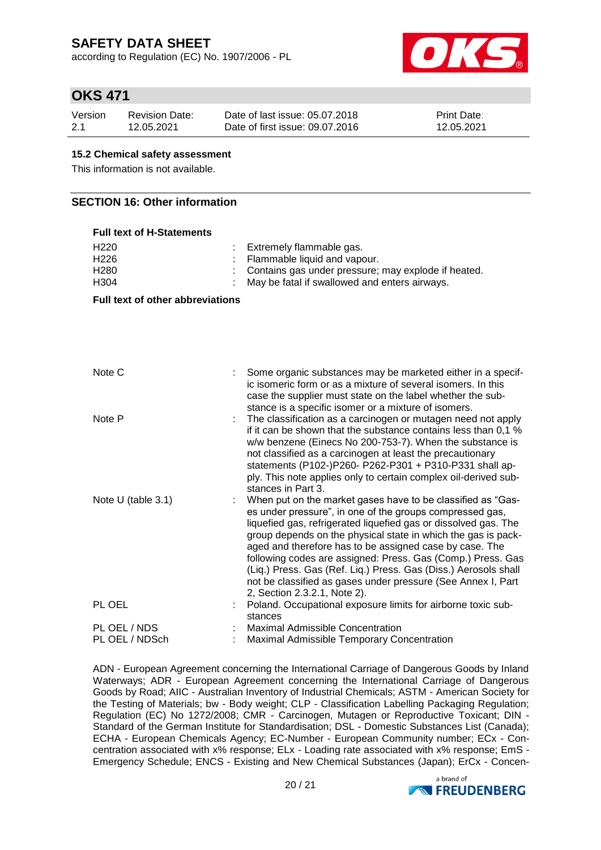according to Regulation (EC) No. 1907/2006 - PL



## **OKS 471**

| Version | Revision Date: | Date of last issue: 05.07.2018  | <b>Print Date:</b> |
|---------|----------------|---------------------------------|--------------------|
| 2.1     | 12.05.2021     | Date of first issue: 09.07.2016 | 12.05.2021         |

### **15.2 Chemical safety assessment**

This information is not available.

## **SECTION 16: Other information**

| <b>Full text of H-Statements</b>                                 |                                                                                                                                                                                                                                                                                                                                                                                                                                                                                                                                                          |
|------------------------------------------------------------------|----------------------------------------------------------------------------------------------------------------------------------------------------------------------------------------------------------------------------------------------------------------------------------------------------------------------------------------------------------------------------------------------------------------------------------------------------------------------------------------------------------------------------------------------------------|
| H <sub>220</sub><br>H <sub>226</sub><br>H <sub>280</sub><br>H304 | Extremely flammable gas.<br>Flammable liquid and vapour.<br>Contains gas under pressure; may explode if heated.<br>May be fatal if swallowed and enters airways.                                                                                                                                                                                                                                                                                                                                                                                         |
| <b>Full text of other abbreviations</b>                          |                                                                                                                                                                                                                                                                                                                                                                                                                                                                                                                                                          |
|                                                                  |                                                                                                                                                                                                                                                                                                                                                                                                                                                                                                                                                          |
| Note C                                                           | Some organic substances may be marketed either in a specif-<br>ic isomeric form or as a mixture of several isomers. In this<br>case the supplier must state on the label whether the sub-<br>stance is a specific isomer or a mixture of isomers.                                                                                                                                                                                                                                                                                                        |
| Note P                                                           | The classification as a carcinogen or mutagen need not apply<br>if it can be shown that the substance contains less than 0,1 %<br>w/w benzene (Einecs No 200-753-7). When the substance is<br>not classified as a carcinogen at least the precautionary<br>statements (P102-)P260- P262-P301 + P310-P331 shall ap-<br>ply. This note applies only to certain complex oil-derived sub-<br>stances in Part 3.                                                                                                                                              |
| Note U (table 3.1)                                               | When put on the market gases have to be classified as "Gas-<br>es under pressure", in one of the groups compressed gas,<br>liquefied gas, refrigerated liquefied gas or dissolved gas. The<br>group depends on the physical state in which the gas is pack-<br>aged and therefore has to be assigned case by case. The<br>following codes are assigned: Press. Gas (Comp.) Press. Gas<br>(Liq.) Press. Gas (Ref. Liq.) Press. Gas (Diss.) Aerosols shall<br>not be classified as gases under pressure (See Annex I, Part<br>2, Section 2.3.2.1, Note 2). |
| PL OEL                                                           | Poland. Occupational exposure limits for airborne toxic sub-<br>stances                                                                                                                                                                                                                                                                                                                                                                                                                                                                                  |
| PL OEL / NDS<br>PL OEL / NDSch                                   | <b>Maximal Admissible Concentration</b><br>Maximal Admissible Temporary Concentration                                                                                                                                                                                                                                                                                                                                                                                                                                                                    |

ADN - European Agreement concerning the International Carriage of Dangerous Goods by Inland Waterways; ADR - European Agreement concerning the International Carriage of Dangerous Goods by Road; AIIC - Australian Inventory of Industrial Chemicals; ASTM - American Society for the Testing of Materials; bw - Body weight; CLP - Classification Labelling Packaging Regulation; Regulation (EC) No 1272/2008; CMR - Carcinogen, Mutagen or Reproductive Toxicant; DIN - Standard of the German Institute for Standardisation; DSL - Domestic Substances List (Canada); ECHA - European Chemicals Agency; EC-Number - European Community number; ECx - Concentration associated with x% response; ELx - Loading rate associated with x% response; EmS - Emergency Schedule; ENCS - Existing and New Chemical Substances (Japan); ErCx - Concen-